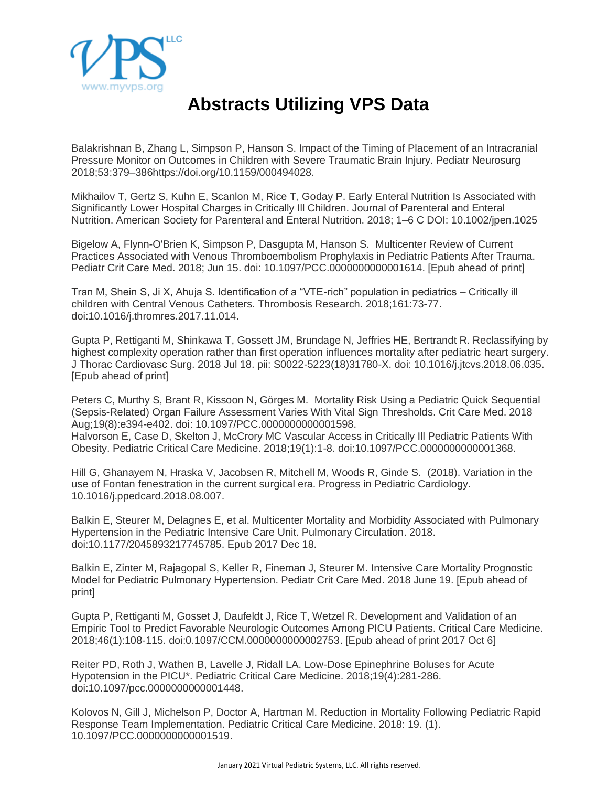

## **Abstracts Utilizing VPS Data**

Balakrishnan B, Zhang L, Simpson P, Hanson S. Impact of the Timing of Placement of an Intracranial Pressure Monitor on Outcomes in Children with Severe Traumatic Brain Injury. Pediatr Neurosurg 2018;53:379–386https://doi.org/10.1159/000494028.

Mikhailov T, Gertz S, Kuhn E, Scanlon M, Rice T, Goday P. Early Enteral Nutrition Is Associated with Significantly Lower Hospital Charges in Critically Ill Children. Journal of Parenteral and Enteral Nutrition. American Society for Parenteral and Enteral Nutrition. 2018; 1–6 C DOI: 10.1002/jpen.1025

Bigelow A, Flynn-O'Brien K, Simpson P, Dasgupta M, Hanson S. Multicenter Review of Current Practices Associated with Venous Thromboembolism Prophylaxis in Pediatric Patients After Trauma. Pediatr Crit Care Med. 2018; Jun 15. doi: 10.1097/PCC.0000000000001614. [Epub ahead of print]

Tran M, Shein S, Ji X, Ahuja S. Identification of a "VTE-rich" population in pediatrics – Critically ill children with Central Venous Catheters. Thrombosis Research. 2018;161:73-77. doi:10.1016/j.thromres.2017.11.014.

Gupta P, Rettiganti M, Shinkawa T, Gossett JM, Brundage N, Jeffries HE, Bertrandt R. Reclassifying by highest complexity operation rather than first operation influences mortality after pediatric heart surgery. J Thorac Cardiovasc Surg. 2018 Jul 18. pii: S0022-5223(18)31780-X. doi: 10.1016/j.jtcvs.2018.06.035. [Epub ahead of print]

Peters C, Murthy S, Brant R, Kissoon N, Görges M. Mortality Risk Using a Pediatric Quick Sequential (Sepsis-Related) Organ Failure Assessment Varies With Vital Sign Thresholds. Crit Care Med. 2018 Aug;19(8):e394-e402. doi: 10.1097/PCC.0000000000001598. Halvorson E, Case D, Skelton J, McCrory MC Vascular Access in Critically Ill Pediatric Patients With Obesity. Pediatric Critical Care Medicine. 2018;19(1):1-8. doi:10.1097/PCC.0000000000001368.

Hill G, Ghanayem N, Hraska V, Jacobsen R, Mitchell M, Woods R, Ginde S. (2018). Variation in the use of Fontan fenestration in the current surgical era. Progress in Pediatric Cardiology. 10.1016/j.ppedcard.2018.08.007.

Balkin E, Steurer M, Delagnes E, et al. Multicenter Mortality and Morbidity Associated with Pulmonary Hypertension in the Pediatric Intensive Care Unit. Pulmonary Circulation. 2018. doi:10.1177/2045893217745785. Epub 2017 Dec 18.

Balkin E, Zinter M, Rajagopal S, Keller R, Fineman J, Steurer M. Intensive Care Mortality Prognostic Model for Pediatric Pulmonary Hypertension. Pediatr Crit Care Med. 2018 June 19. [Epub ahead of print]

Gupta P, Rettiganti M, Gosset J, Daufeldt J, Rice T, Wetzel R. Development and Validation of an Empiric Tool to Predict Favorable Neurologic Outcomes Among PICU Patients. Critical Care Medicine. 2018;46(1):108-115. doi:0.1097/CCM.0000000000002753. [Epub ahead of print 2017 Oct 6]

Reiter PD, Roth J, Wathen B, Lavelle J, Ridall LA. Low-Dose Epinephrine Boluses for Acute Hypotension in the PICU\*. Pediatric Critical Care Medicine. 2018;19(4):281-286. doi:10.1097/pcc.0000000000001448.

Kolovos N, Gill J, Michelson P, Doctor A, Hartman M. Reduction in Mortality Following Pediatric Rapid Response Team Implementation. Pediatric Critical Care Medicine. 2018: 19. (1). 10.1097/PCC.0000000000001519.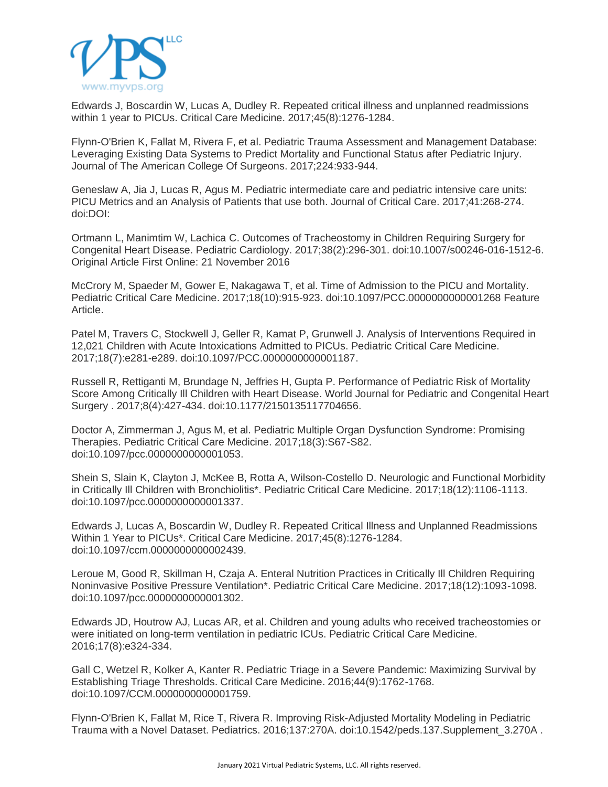

Edwards J, Boscardin W, Lucas A, Dudley R. Repeated critical illness and unplanned readmissions within 1 year to PICUs. Critical Care Medicine. 2017;45(8):1276-1284.

Flynn-O'Brien K, Fallat M, Rivera F, et al. Pediatric Trauma Assessment and Management Database: Leveraging Existing Data Systems to Predict Mortality and Functional Status after Pediatric Injury. Journal of The American College Of Surgeons. 2017;224:933-944.

Geneslaw A, Jia J, Lucas R, Agus M. Pediatric intermediate care and pediatric intensive care units: PICU Metrics and an Analysis of Patients that use both. Journal of Critical Care. 2017;41:268-274. doi:DOI:

Ortmann L, Manimtim W, Lachica C. Outcomes of Tracheostomy in Children Requiring Surgery for Congenital Heart Disease. Pediatric Cardiology. 2017;38(2):296-301. doi:10.1007/s00246-016-1512-6. Original Article First Online: 21 November 2016

McCrory M, Spaeder M, Gower E, Nakagawa T, et al. Time of Admission to the PICU and Mortality. Pediatric Critical Care Medicine. 2017;18(10):915-923. doi:10.1097/PCC.0000000000001268 Feature Article.

Patel M, Travers C, Stockwell J, Geller R, Kamat P, Grunwell J. Analysis of Interventions Required in 12,021 Children with Acute Intoxications Admitted to PICUs. Pediatric Critical Care Medicine. 2017;18(7):e281-e289. doi:10.1097/PCC.0000000000001187.

Russell R, Rettiganti M, Brundage N, Jeffries H, Gupta P. Performance of Pediatric Risk of Mortality Score Among Critically Ill Children with Heart Disease. World Journal for Pediatric and Congenital Heart Surgery . 2017;8(4):427-434. doi:10.1177/2150135117704656.

Doctor A, Zimmerman J, Agus M, et al. Pediatric Multiple Organ Dysfunction Syndrome: Promising Therapies. Pediatric Critical Care Medicine. 2017;18(3):S67-S82. doi:10.1097/pcc.0000000000001053.

Shein S, Slain K, Clayton J, McKee B, Rotta A, Wilson-Costello D. Neurologic and Functional Morbidity in Critically Ill Children with Bronchiolitis\*. Pediatric Critical Care Medicine. 2017;18(12):1106-1113. doi:10.1097/pcc.0000000000001337.

Edwards J, Lucas A, Boscardin W, Dudley R. Repeated Critical Illness and Unplanned Readmissions Within 1 Year to PICUs\*. Critical Care Medicine. 2017;45(8):1276-1284. doi:10.1097/ccm.0000000000002439.

Leroue M, Good R, Skillman H, Czaja A. Enteral Nutrition Practices in Critically Ill Children Requiring Noninvasive Positive Pressure Ventilation\*. Pediatric Critical Care Medicine. 2017;18(12):1093-1098. doi:10.1097/pcc.0000000000001302.

Edwards JD, Houtrow AJ, Lucas AR, et al. Children and young adults who received tracheostomies or were initiated on long-term ventilation in pediatric ICUs. Pediatric Critical Care Medicine. 2016;17(8):e324-334.

Gall C, Wetzel R, Kolker A, Kanter R. Pediatric Triage in a Severe Pandemic: Maximizing Survival by Establishing Triage Thresholds. Critical Care Medicine. 2016;44(9):1762-1768. doi:10.1097/CCM.0000000000001759.

Flynn-O'Brien K, Fallat M, Rice T, Rivera R. Improving Risk-Adjusted Mortality Modeling in Pediatric Trauma with a Novel Dataset. Pediatrics. 2016;137:270A. doi:10.1542/peds.137.Supplement\_3.270A .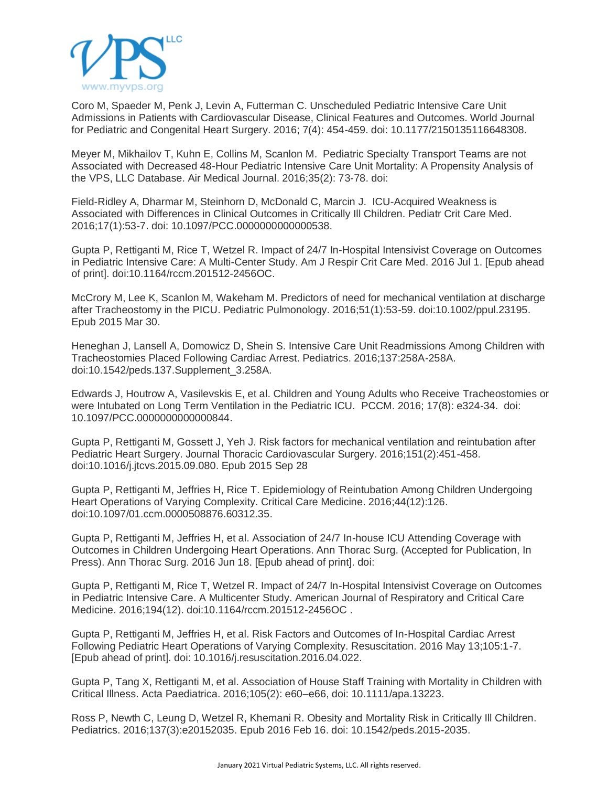

Coro M, Spaeder M, Penk J, Levin A, Futterman C. Unscheduled Pediatric Intensive Care Unit Admissions in Patients with Cardiovascular Disease, Clinical Features and Outcomes. World Journal for Pediatric and Congenital Heart Surgery. 2016; 7(4): 454-459. doi: 10.1177/2150135116648308.

Meyer M, Mikhailov T, Kuhn E, Collins M, Scanlon M. Pediatric Specialty Transport Teams are not Associated with Decreased 48-Hour Pediatric Intensive Care Unit Mortality: A Propensity Analysis of the VPS, LLC Database. Air Medical Journal. 2016;35(2): 73-78. doi:

Field-Ridley A, Dharmar M, Steinhorn D, McDonald C, Marcin J. ICU-Acquired Weakness is Associated with Differences in Clinical Outcomes in Critically Ill Children. Pediatr Crit Care Med. 2016;17(1):53-7. doi: 10.1097/PCC.0000000000000538.

Gupta P, Rettiganti M, Rice T, Wetzel R. Impact of 24/7 In-Hospital Intensivist Coverage on Outcomes in Pediatric Intensive Care: A Multi-Center Study. Am J Respir Crit Care Med. 2016 Jul 1. [Epub ahead of print]. doi:10.1164/rccm.201512-2456OC.

McCrory M, Lee K, Scanlon M, Wakeham M. Predictors of need for mechanical ventilation at discharge after Tracheostomy in the PICU. Pediatric Pulmonology. 2016;51(1):53-59. doi:10.1002/ppul.23195. Epub 2015 Mar 30.

Heneghan J, Lansell A, Domowicz D, Shein S. Intensive Care Unit Readmissions Among Children with Tracheostomies Placed Following Cardiac Arrest. Pediatrics. 2016;137:258A-258A. doi:10.1542/peds.137.Supplement\_3.258A.

Edwards J, Houtrow A, Vasilevskis E, et al. Children and Young Adults who Receive Tracheostomies or were Intubated on Long Term Ventilation in the Pediatric ICU. PCCM. 2016; 17(8): e324-34. doi: 10.1097/PCC.0000000000000844.

Gupta P, Rettiganti M, Gossett J, Yeh J. Risk factors for mechanical ventilation and reintubation after Pediatric Heart Surgery. Journal Thoracic Cardiovascular Surgery. 2016;151(2):451-458. doi:10.1016/j.jtcvs.2015.09.080. Epub 2015 Sep 28

Gupta P, Rettiganti M, Jeffries H, Rice T. Epidemiology of Reintubation Among Children Undergoing Heart Operations of Varying Complexity. Critical Care Medicine. 2016;44(12):126. doi:10.1097/01.ccm.0000508876.60312.35.

Gupta P, Rettiganti M, Jeffries H, et al. Association of 24/7 In-house ICU Attending Coverage with Outcomes in Children Undergoing Heart Operations. Ann Thorac Surg. (Accepted for Publication, In Press). Ann Thorac Surg. 2016 Jun 18. [Epub ahead of print]. doi:

Gupta P, Rettiganti M, Rice T, Wetzel R. Impact of 24/7 In-Hospital Intensivist Coverage on Outcomes in Pediatric Intensive Care. A Multicenter Study. American Journal of Respiratory and Critical Care Medicine. 2016;194(12). doi:10.1164/rccm.201512-2456OC .

Gupta P, Rettiganti M, Jeffries H, et al. Risk Factors and Outcomes of In-Hospital Cardiac Arrest Following Pediatric Heart Operations of Varying Complexity. Resuscitation. 2016 May 13;105:1-7. [Epub ahead of print]. doi: 10.1016/j.resuscitation.2016.04.022.

Gupta P, Tang X, Rettiganti M, et al. Association of House Staff Training with Mortality in Children with Critical Illness. Acta Paediatrica. 2016;105(2): e60–e66, doi: 10.1111/apa.13223.

Ross P, Newth C, Leung D, Wetzel R, Khemani R. Obesity and Mortality Risk in Critically Ill Children. Pediatrics. 2016;137(3):e20152035. Epub 2016 Feb 16. doi: 10.1542/peds.2015-2035.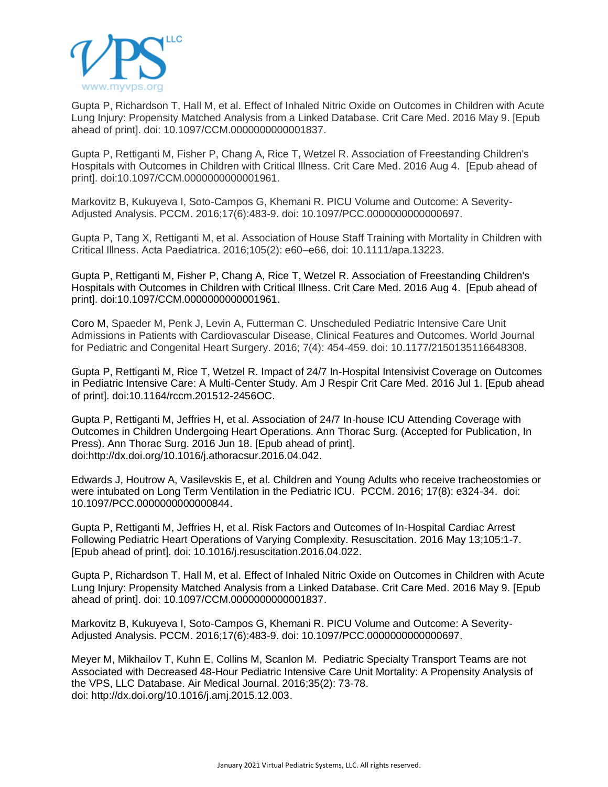

Gupta P, Richardson T, Hall M, et al. Effect of Inhaled Nitric Oxide on Outcomes in Children with Acute Lung Injury: Propensity Matched Analysis from a Linked Database. Crit Care Med. 2016 May 9. [Epub ahead of print]. doi: 10.1097/CCM.0000000000001837.

Gupta P, Rettiganti M, Fisher P, Chang A, Rice T, Wetzel R. Association of Freestanding Children's Hospitals with Outcomes in Children with Critical Illness. Crit Care Med. 2016 Aug 4. [Epub ahead of print]. doi:10.1097/CCM.0000000000001961.

Markovitz B, Kukuyeva I, Soto-Campos G, Khemani R. PICU Volume and Outcome: A Severity-Adjusted Analysis. PCCM. 2016;17(6):483-9. doi: 10.1097/PCC.0000000000000697.

Gupta P, Tang X, Rettiganti M, et al. Association of House Staff Training with Mortality in Children with Critical Illness. Acta Paediatrica. 2016;105(2): e60–e66, doi: 10.1111/apa.13223.

[Gupta](http://www.ncbi.nlm.nih.gov/pubmed/?term=Gupta%20P%5BAuthor%5D&cauthor=true&cauthor_uid=27513535) P, [Rettiganti](http://www.ncbi.nlm.nih.gov/pubmed/?term=Rettiganti%20M%5BAuthor%5D&cauthor=true&cauthor_uid=27513535) M, [Fisher](http://www.ncbi.nlm.nih.gov/pubmed/?term=Fisher%20PL%5BAuthor%5D&cauthor=true&cauthor_uid=27513535) P, [Chang](http://www.ncbi.nlm.nih.gov/pubmed/?term=Chang%20AC%5BAuthor%5D&cauthor=true&cauthor_uid=27513535) A, [Rice](http://www.ncbi.nlm.nih.gov/pubmed/?term=Rice%20TB%5BAuthor%5D&cauthor=true&cauthor_uid=27513535) T, Wetzel R. Association of Freestanding Children's Hospitals with Outcomes in Children with Critical Illness. Crit Care Med. 2016 Aug 4. [Epub ahead of print]. doi[:10.1097/CCM.0000000000001961.](http://dx.doi.org/10.1097/CCM.0000000000001961)

[Coro](http://pch.sagepub.com/search?author1=Melinda+D.+Coro&sortspec=date&submit=Submit) M, Spaeder M, Penk J, Levin A, Futterman C. Unscheduled Pediatric Intensive Care Unit Admissions in Patients with Cardiovascular Disease, Clinical Features and Outcomes. World Journal for Pediatric and Congenital Heart Surgery. 2016; 7(4): 454-459. doi: 10.1177/2150135116648308.

[Gupta](http://www.ncbi.nlm.nih.gov/pubmed/?term=Gupta%20P%5BAuthor%5D&cauthor=true&cauthor_uid=27367580) P, [Rettiganti](http://www.ncbi.nlm.nih.gov/pubmed/?term=Rettiganti%20M%5BAuthor%5D&cauthor=true&cauthor_uid=27367580) M, [Rice](http://www.ncbi.nlm.nih.gov/pubmed/?term=Rice%20TB%5BAuthor%5D&cauthor=true&cauthor_uid=27367580) T, Wetzel R. Impact of 24/7 In-Hospital Intensivist Coverage on Outcomes in Pediatric Intensive Care: A Multi-Center Study. Am J [Respir](http://www.ncbi.nlm.nih.gov/pubmed/27367580) Crit Care Med. 2016 Jul 1. [Epub ahead of print]. doi[:10.1164/rccm.201512-2456OC.](http://dx.doi.org/10.1164/rccm.201512-2456OC)

Gupta P, Rettiganti M, Jeffries H, et al. Association of 24/7 In-house ICU Attending Coverage with Outcomes in Children Undergoing Heart Operations. Ann Thorac Surg. (Accepted for Publication, In Press). Ann [Thorac](http://www.ncbi.nlm.nih.gov/pubmed/27324525) Surg. 2016 Jun 18. [Epub ahead of print]. doi[:http://dx.doi.org/10.1016/j.athoracsur.2016.04.042.](http://dx.doi.org/10.1016/j.athoracsur.2016.04.042)

Edwards J, Houtrow A, Vasilevskis E, et al. Children and Young Adults who receive tracheostomies or were intubated on Long Term Ventilation in the Pediatric ICU. PCCM. 2016; 17(8): e324-34. doi: 10.1097/PCC.0000000000000844.

Gupta P, Rettiganti M, Jeffries H, et al. Risk Factors and Outcomes of In-Hospital Cardiac Arrest Following Pediatric Heart Operations of Varying Complexity. Resuscitation. 2016 May 13;105:1-7. [Epub ahead of print]. doi: 10.1016/j.resuscitation.2016.04.022.

Gupta P, Richardson T, Hall M, et al. Effect of Inhaled Nitric Oxide on Outcomes in Children with Acute Lung Injury: Propensity Matched Analysis from a Linked Database. Crit Care Med. 2016 May 9. [Epub ahead of print]. doi: [10.1097/CCM.0000000000001837.](http://dx.doi.org/10.1097/CCM.0000000000001837)

Markovitz B, Kukuyeva I, Soto-Campos G, Khemani R. PICU Volume and Outcome: A Severity-Adjusted Analysis. PCCM. 2016;17(6):483-9. doi: 10.1097/PCC.0000000000000697.

Meyer M, Mikhailov T, Kuhn E, Collins M, Scanlon M. Pediatric Specialty Transport Teams are not Associated with Decreased 48-Hour Pediatric Intensive Care Unit Mortality: A Propensity Analysis of the VPS, LLC Database. Air Medical Journal. 2016;35(2): 73-78. doi: [http://dx.doi.org/10.1016/j.amj.2015.12.003.](http://dx.doi.org/10.1016/j.amj.2015.12.003)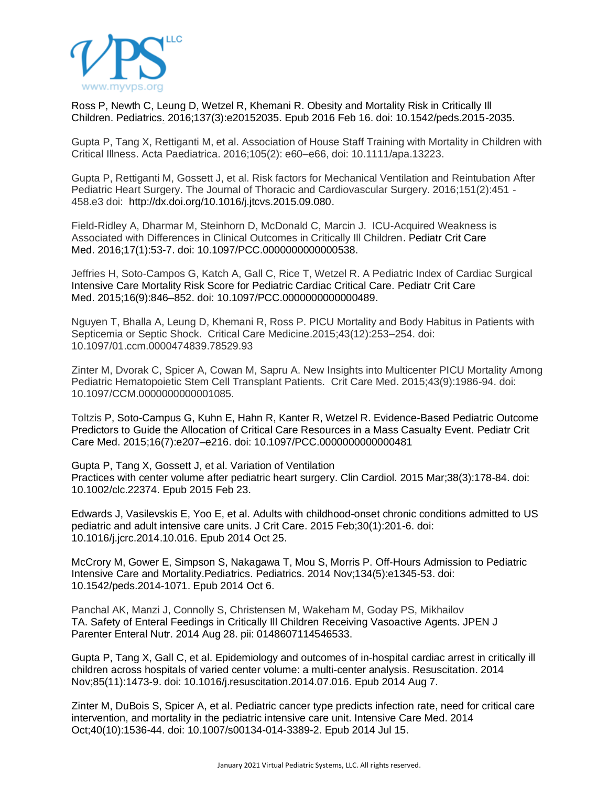

Ross P, Newth C, Leung D, Wetzel R, Khemani R. Obesity and Mortality Risk in Critically Ill Children. [Pediatrics.](http://www.ncbi.nlm.nih.gov/pubmed/26908670) 2016;137(3):e20152035. Epub 2016 Feb 16. doi: 10.1542/peds.2015-2035.

Gupta P, Tang X, Rettiganti M, et al. Association of House Staff Training with Mortality in Children with Critical Illness. Acta Paediatrica. 2016;105(2): e60–e66, doi: 10.1111/apa.13223.

Gupta P, Rettiganti M, Gossett J, et al. Risk factors for Mechanical Ventilation and Reintubation After Pediatric Heart Surgery. The Journal of Thoracic and Cardiovascular Surgery. 2016;151(2):451 - 458.e3 doi: [http://dx.doi.org/10.1016/j.jtcvs.2015.09.080.](http://dx.doi.org/10.1016/j.jtcvs.2015.09.080)

Field-Ridley A, Dharmar M, Steinhorn D, McDonald C, Marcin J. ICU-Acquired Weakness is Associated with Differences in Clinical Outcomes in Critically Ill Children. [Pediatr](http://www.ncbi.nlm.nih.gov/pubmed/26492063) Crit Care [Med.](http://www.ncbi.nlm.nih.gov/pubmed/26492063) 2016;17(1):53-7. doi: 10.1097/PCC.0000000000000538.

Jeffries H, Soto-Campos G, Katch A, Gall C, Rice T, Wetzel R. A Pediatric Index of Cardiac Surgical Intensive Care Mortality Risk Score for Pediatric Cardiac Critical Care. [Pediatr](http://www.ncbi.nlm.nih.gov/pubmed/26492063) Crit Care [Med.](http://www.ncbi.nlm.nih.gov/pubmed/26492063) 2015;16(9):846–852. doi: 10.1097/PCC.0000000000000489.

Nguyen T, Bhalla A, Leung D, Khemani R, Ross P. PICU Mortality and Body Habitus in Patients with Septicemia or Septic Shock. Critical Care Medicine.2015;43(12):253–254. doi: 10.1097/01.ccm.0000474839.78529.93

Zinter M, Dvorak C, Spicer A, Cowan M, Sapru A. New Insights into Multicenter PICU Mortality Among Pediatric Hematopoietic Stem Cell Transplant Patients. Crit Care Med. 2015;43(9):1986-94. doi: 10.1097/CCM.0000000000001085.

Toltzis P, Soto-Campus G, Kuhn E, Hahn R, Kanter R, Wetzel R. Evidence-Based Pediatric Outcome Predictors to Guide the Allocation of Critical Care Resources in a Mass Casualty Event. [Pediatr](http://www.ncbi.nlm.nih.gov/pubmed/26492063) Crit Care [Med.](http://www.ncbi.nlm.nih.gov/pubmed/26492063) 2015;16(7)[:e207–e216.](http://journals.lww.com/pccmjournal/toc/2015/09000) doi: 10.1097/PCC.0000000000000481

Gupta P, Tang X, Gossett J, et al. Variation of [Ventilation](http://www.ncbi.nlm.nih.gov/pubmed/?term=Variation+of+Ventilation+Practices+With+Center+Volume+After+Pediatric+Heart+Surgery) [Practices](http://www.ncbi.nlm.nih.gov/pubmed/?term=Variation+of+Ventilation+Practices+With+Center+Volume+After+Pediatric+Heart+Surgery) with center volume after pediatric heart surgery. Clin [Cardiol.](http://www.ncbi.nlm.nih.gov/pubmed/?term=Variation+of+Ventilation+Practices+With+Center+Volume+After+Pediatric+Heart+Surgery) 2015 Mar;38(3):178-84. doi: 10.1002/clc.22374. Epub 2015 Feb 23.

Edwards J, Vasilevskis E, Yoo E, et al. Adults with [childhood-onset](http://www.ncbi.nlm.nih.gov/pubmed/25466316) chronic conditions admitted to US pediatric and adult [intensive](http://www.ncbi.nlm.nih.gov/pubmed/25466316) care units. J Crit Care. 2015 Feb;30(1):201-6. doi: 10.1016/j.jcrc.2014.10.016. Epub 2014 Oct 25.

McCrory M, Gower E, Simpson S, Nakagawa T, Mou S, Morris P. Off-Hours [Admission](http://www.ncbi.nlm.nih.gov/pubmed/25287463) to Pediatric Intensive Care and [Mortality.Pediatrics.](http://www.ncbi.nlm.nih.gov/pubmed/25287463) Pediatrics. 2014 Nov;134(5):e1345-53. doi: 10.1542/peds.2014-1071. Epub 2014 Oct 6.

Panchal AK, Manzi J, Connolly S, Christensen M, Wakeham M, Goday PS, Mikhailov TA. Safety of Enteral Feedings in Critically Ill Children Receiving [Vasoactive](http://www.ncbi.nlm.nih.gov/pubmed/?term=Safety+of+Enteral+Feedings+in+Critically+Ill+Children+Receiving+Vasoactive+Agents) Agents. JPEN J Parenter Enteral Nutr. 2014 Aug 28. pii: 0148607114546533.

Gupta P, Tang X, Gall C, et al. [Epidemiology](http://www.ncbi.nlm.nih.gov/pubmed/25110249) and outcomes of in-hospital cardiac arrest in critically ill children across hospitals of varied center volume: a [multi-center](http://www.ncbi.nlm.nih.gov/pubmed/25110249) analysis. Resuscitation. 2014 Nov;85(11):1473-9. doi: 10.1016/j.resuscitation.2014.07.016. Epub 2014 Aug 7.

Zinter M, DuBois S, Spicer A, et al. [Pediatric](http://www.ncbi.nlm.nih.gov/pubmed/?term=pediatric+cancer+type+predicts+infection+rate) cancer type predicts infection rate, need for critical care [intervention,](http://www.ncbi.nlm.nih.gov/pubmed/?term=pediatric+cancer+type+predicts+infection+rate) and mortality in the pediatric intensive care unit. Intensive Care Med. 2014 Oct;40(10):1536-44. doi: 10.1007/s00134-014-3389-2. Epub 2014 Jul 15.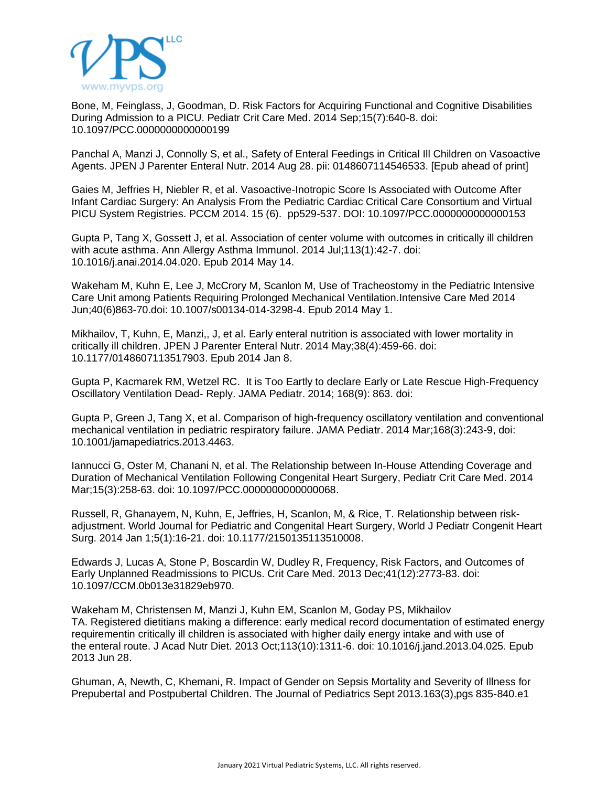

Bone, M, Feinglass, J, Goodman, D. Risk Factors for Acquiring Functional and Cognitive [Disabilities](http://www.ncbi.nlm.nih.gov/pubmed/?term=).+Risk+Factors+for+Acquiring+Functional+and+Cognitive+Disabilities+During+Admission+to+a+PICU.) During [Admission](http://www.ncbi.nlm.nih.gov/pubmed/?term=).+Risk+Factors+for+Acquiring+Functional+and+Cognitive+Disabilities+During+Admission+to+a+PICU.) to a PICU. Pediatr Crit Care Med. 2014 Sep;15(7):640-8. doi: 10.1097/PCC.0000000000000199

Panchal A, Manzi J, Connolly S, et al., Safety of Enteral Feedings in Critical Ill Children on [Vasoactive](http://www.ncbi.nlm.nih.gov/pubmed/25168592) [Agents.](http://www.ncbi.nlm.nih.gov/pubmed/25168592) JPEN J Parenter Enteral Nutr. 2014 Aug 28. pii: 0148607114546533. [Epub ahead of print]

Gaies M, Jeffries H, Niebler R, et al. Vasoactive-Inotropic Score Is Associated with Outcome After Infant Cardiac Surgery: An Analysis From the Pediatric Cardiac Critical Care Consortium and Virtual PICU System Registries. PCCM 2014. 15 (6). pp529-537. DOI: 10.1097/PCC.0000000000000153

Gupta P, Tang X, Gossett J, et al. [Association](http://www.ncbi.nlm.nih.gov/pubmed/?term=association+of+center+volume+with+outcomes+in+critically+ill+children+with+accute+asthma) of center volume with outcomes in critically ill children with acute [asthma.](http://www.ncbi.nlm.nih.gov/pubmed/?term=association+of+center+volume+with+outcomes+in+critically+ill+children+with+accute+asthma) Ann Allergy Asthma Immunol. 2014 Jul;113(1):42-7. doi: 10.1016/j.anai.2014.04.020. Epub 2014 May 14.

Wakeham M, Kuhn E, Lee J, McCrory M, Scanlon M, Use of [Tracheostomy](http://www.ncbi.nlm.nih.gov/pubmed/24789618) in the Pediatric Intensive Care Unit among Patients Requiring Prolonged [Mechanical](http://www.ncbi.nlm.nih.gov/pubmed/24789618) Ventilation.Intensive Care Med 2014 Jun;40(6)863-70.doi: 10.1007/s00134-014-3298-4. Epub 2014 May 1.

Mikhailov, T, Kuhn, E, Manzi,, J, et al. Early enteral nutrition is [associated](http://www.ncbi.nlm.nih.gov/pubmed/24403379) with lower mortality in critically ill [children.](http://www.ncbi.nlm.nih.gov/pubmed/24403379) JPEN J Parenter Enteral Nutr. 2014 May;38(4):459-66. doi: 10.1177/0148607113517903. Epub 2014 Jan 8.

Gupta P, Kacmarek RM, Wetzel RC. It is Too Eartly to declare Early or Late Rescue High-Frequency Oscillatory Ventilation Dead- Reply. JAMA Pediatr. 2014; 168(9): 863. doi:

Gupta P, Green J, Tang X, et al. Comparison of [high-frequency](http://www.ncbi.nlm.nih.gov/pubmed/24445980) oscillatory ventilation and conventional [mechanical](http://www.ncbi.nlm.nih.gov/pubmed/24445980) ventilation in pediatric respiratory failure. JAMA Pediatr. 2014 Mar;168(3):243-9, doi: 10.1001/jamapediatrics.2013.4463.

Iannucci G, Oster M, Chanani N, et al. The [Relationship](http://www.ncbi.nlm.nih.gov/pubmed/?term=The+Relationship+between+In-House+Attending+Coverage+and+Duration+of+Mechanical+Ventilation+Following+Congenital+Heart+Surgery) between In-House Attending Coverage and Duration of [Mechanical](http://www.ncbi.nlm.nih.gov/pubmed/?term=The+Relationship+between+In-House+Attending+Coverage+and+Duration+of+Mechanical+Ventilation+Following+Congenital+Heart+Surgery) Ventilation Following Congenital Heart Surgery, Pediatr Crit Care Med. 2014 Mar;15(3):258-63. doi: 10.1097/PCC.0000000000000068.

Russell, R, Ghanayem, N, Kuhn, E, Jeffries, H, Scanlon, M, & Rice, T. [Relationship](http://www.ncbi.nlm.nih.gov/pubmed/?term=Relationship+between+risk-adjustment.+World+Journal+for+Pediatric+and+Congenital+Heart+Surgery) between risk[adjustment.](http://www.ncbi.nlm.nih.gov/pubmed/?term=Relationship+between+risk-adjustment.+World+Journal+for+Pediatric+and+Congenital+Heart+Surgery) World Journal for Pediatric and Congenital Heart Surgery, World J Pediatr Congenit Heart Surg. 2014 Jan 1;5(1):16-21. doi: 10.1177/2150135113510008.

Edwards J, Lucas A, Stone P, Boscardin W, Dudley R, [Frequency,](http://www.ncbi.nlm.nih.gov/pubmed/?term=Frequency%2C+Risk+Factors%2C+and+Outcomes+of+Early+Unplanned+Readmissions+to+PICUs) Risk Factors, and Outcomes of Early Unplanned [Readmissions](http://www.ncbi.nlm.nih.gov/pubmed/?term=Frequency%2C+Risk+Factors%2C+and+Outcomes+of+Early+Unplanned+Readmissions+to+PICUs) to PICUs. Crit Care Med. 2013 Dec;41(12):2773-83. doi: 10.1097/CCM.0b013e31829eb970.

Wakeham M, Christensen M, Manzi J, Kuhn EM, Scanlon M, Goday PS, Mikhailov TA. Registered dietitians making a difference: early medical record [documentation](http://www.ncbi.nlm.nih.gov/pubmed/?term=Registered+Dietitians+Making+a+Difference%3A+Early+Medical+Record+Documentation+of+Estimated+Energy+Requirement+in+Critically+Ill+Children+Is+Associated+with+Higher+Daily+Energy+Intake+and+with+Use+of+the+Enteral+Route) of estimated energy [requirementin](http://www.ncbi.nlm.nih.gov/pubmed/?term=Registered+Dietitians+Making+a+Difference%3A+Early+Medical+Record+Documentation+of+Estimated+Energy+Requirement+in+Critically+Ill+Children+Is+Associated+with+Higher+Daily+Energy+Intake+and+with+Use+of+the+Enteral+Route) critically ill children is associated with higher daily energy intake and with use of the [enteral](http://www.ncbi.nlm.nih.gov/pubmed/?term=Registered+Dietitians+Making+a+Difference%3A+Early+Medical+Record+Documentation+of+Estimated+Energy+Requirement+in+Critically+Ill+Children+Is+Associated+with+Higher+Daily+Energy+Intake+and+with+Use+of+the+Enteral+Route) route. J Acad Nutr Diet. 2013 Oct;113(10):1311-6. doi: 10.1016/j.jand.2013.04.025. Epub 2013 Jun 28.

Ghuman, A, Newth, C, Khemani, R. Impact of Gender on Sepsis [Mortality](http://www.ncbi.nlm.nih.gov/pubmed/?term=Impact+of+Gender+on+Sepsis+Mortality+and+Severity+of+Illness+for+Prepubertal+and+Postpubertal+Children) and Severity of Illness for Prepubertal and [Postpubertal](http://www.ncbi.nlm.nih.gov/pubmed/?term=Impact+of+Gender+on+Sepsis+Mortality+and+Severity+of+Illness+for+Prepubertal+and+Postpubertal+Children) Children. The Journal of Pediatrics Sept 2013.163(3),pgs 835-840.e1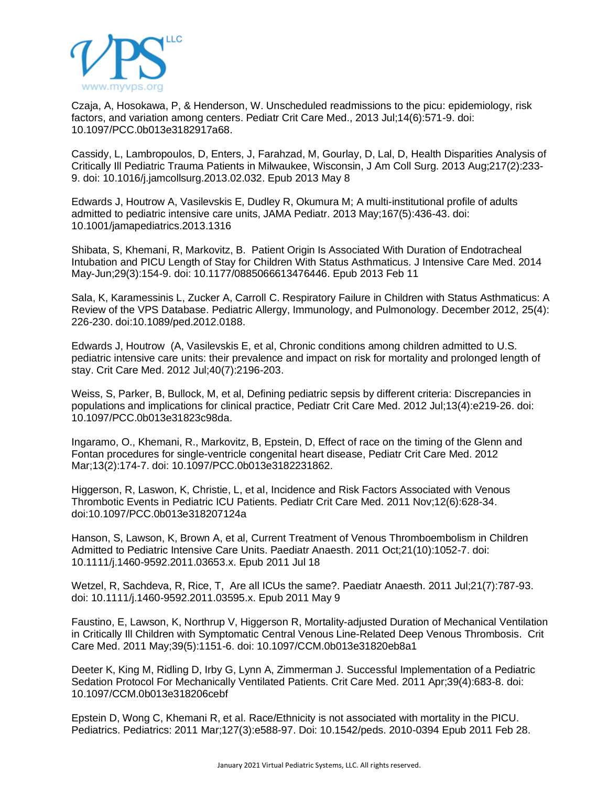

Czaja, A, Hosokawa, P, & Henderson, W. Unscheduled readmissions to the picu: [epidemiology,](http://www.ncbi.nlm.nih.gov/pubmed/?term=Unscheduled+readmissions+to+the+picu%3A+epidemiology%2C+risk+factors%2C+and+variation+among+centers.) risk factors, and [variation](http://www.ncbi.nlm.nih.gov/pubmed/?term=Unscheduled+readmissions+to+the+picu%3A+epidemiology%2C+risk+factors%2C+and+variation+among+centers.) among centers. Pediatr Crit Care Med., 2013 Jul;14(6):571-9. doi: 10.1097/PCC.0b013e3182917a68.

Cassidy, L, Lambropoulos, D, Enters, J, Farahzad, M, Gourlay, D, Lal, D, Health [Disparities](http://www.ncbi.nlm.nih.gov/pubmed/?term=Health+Disparities+Analysis+of+Critically+Ill+Pediatric+Trauma+Patients+in+Milwaukee%2C+Wisconsin) Analysis of Critically Ill Pediatric Trauma Patients in [Milwaukee,](http://www.ncbi.nlm.nih.gov/pubmed/?term=Health+Disparities+Analysis+of+Critically+Ill+Pediatric+Trauma+Patients+in+Milwaukee%2C+Wisconsin) Wisconsin, J Am Coll Surg. 2013 Aug;217(2):233- 9. doi: 10.1016/j.jamcollsurg.2013.02.032. Epub 2013 May 8

Edwards J, Houtrow A, Vasilevskis E, Dudley R, Okumura M; A [multi-institutional](http://www.ncbi.nlm.nih.gov/pubmed/?term=A+multi-institutional+profile+of+adults+admitted+to+pediatric+intensive+care+units) profile of adults admitted to pediatric [intensive](http://www.ncbi.nlm.nih.gov/pubmed/?term=A+multi-institutional+profile+of+adults+admitted+to+pediatric+intensive+care+units) care units, JAMA Pediatr. 2013 May;167(5):436-43. doi: 10.1001/jamapediatrics.2013.1316

Shibata, S, Khemani, R, Markovitz, B. Patient Origin Is Associated With Duration of [Endotracheal](http://www.ncbi.nlm.nih.gov/pubmed/?term=Patient+Origin+Is+Associated+With+Duration+of+Endotracheal+Intubation+and+PICU+Length+of+Stay+for+Children+With+Status+Asthmaticus) Intubation and PICU Length of Stay for Children With Status [Asthmaticus.](http://www.ncbi.nlm.nih.gov/pubmed/?term=Patient+Origin+Is+Associated+With+Duration+of+Endotracheal+Intubation+and+PICU+Length+of+Stay+for+Children+With+Status+Asthmaticus) J Intensive Care Med. 2014 May-Jun;29(3):154-9. doi: 10.1177/0885066613476446. Epub 2013 Feb 11

Sala, K, Karamessinis L, Zucker A, Carroll C. Respiratory Failure in Children with Status [Asthmaticus:](http://online.liebertpub.com/doi/abs/10.1089/ped.2012.0188?journalCode=ped) A Review of the VPS [Database.](http://online.liebertpub.com/doi/abs/10.1089/ped.2012.0188?journalCode=ped) Pediatric Allergy, Immunology, and Pulmonology. December 2012, 25(4): 226-230. doi:10.1089/ped.2012.0188.

Edwards J, Houtrow (A, Vasilevskis E, et al, Chronic [conditions](http://www.ncbi.nlm.nih.gov/pubmed/?term=Chronic+conditions+among+children+admitted+to+U.S.+pediatric+intensive+care+units%3A+their+prevalence+and+impact+on+risk+for+mortality+and+prolonged+length+of+stay) among children admitted to U.S. pediatric intensive care units: their [prevalence](http://www.ncbi.nlm.nih.gov/pubmed/?term=Chronic+conditions+among+children+admitted+to+U.S.+pediatric+intensive+care+units%3A+their+prevalence+and+impact+on+risk+for+mortality+and+prolonged+length+of+stay) and impact on risk for mortality and prolonged length of [stay.](http://www.ncbi.nlm.nih.gov/pubmed/?term=Chronic+conditions+among+children+admitted+to+U.S.+pediatric+intensive+care+units%3A+their+prevalence+and+impact+on+risk+for+mortality+and+prolonged+length+of+stay) Crit Care Med. 2012 Jul;40(7):2196-203.

Weiss, S, Parker, B, Bullock, M, et al, Defining pediatric sepsis by different criteria: [Discrepancies](http://www.ncbi.nlm.nih.gov/pubmed/?term=Defining+pediatric+sepsis+by+different+criteria%3A+Discrepancies+in+populations+and+implications+for+clinical+practice) in populations and [implications](http://www.ncbi.nlm.nih.gov/pubmed/?term=Defining+pediatric+sepsis+by+different+criteria%3A+Discrepancies+in+populations+and+implications+for+clinical+practice) for clinical practice, [Pediatr](http://www.ncbi.nlm.nih.gov/pubmed/22460773) Crit Care Med. 2012 Jul;13(4):e219-26. doi: 10.1097/PCC.0b013e31823c98da.

Ingaramo, O., Khemani, R., Markovitz, B, Epstein, D, Effect of race on the [timing](http://www.ncbi.nlm.nih.gov/pubmed/?term=Effect+of+race+on+the+timing+of+the+Glenn+and+Fontan+procedures+for+single-ventricle+congenital+heart+disease) of the Glenn and Fontan procedures for [single-ventricle](http://www.ncbi.nlm.nih.gov/pubmed/?term=Effect+of+race+on+the+timing+of+the+Glenn+and+Fontan+procedures+for+single-ventricle+congenital+heart+disease) congenital heart disease, Pediatr Crit Care Med. 2012 Mar;13(2):174-7. doi: 10.1097/PCC.0b013e3182231862.

Higgerson, R, Laswon, K, Christie, L, et al, Incidence and Risk Factors [Associated](http://www.ncbi.nlm.nih.gov/pubmed/?term=Incidence+and+Risk+Factors+Associated+with+Venous+Thrombotic+Events+in+Pediatric+ICU+Patients) with Venous [Thrombotic](http://www.ncbi.nlm.nih.gov/pubmed/?term=Incidence+and+Risk+Factors+Associated+with+Venous+Thrombotic+Events+in+Pediatric+ICU+Patients) Events in Pediatric ICU Patients. Pediatr Crit Care Med. 2011 Nov;12(6):628-34. doi:10.1097/PCC.0b013e318207124a

Hanson, S, Lawson, K, Brown A, et al, Current Treatment of Venous [Thromboembolism](http://www.ncbi.nlm.nih.gov/pubmed/?term=Current+Treatment+of+Venous+Thromboembolism+in+Children+Admitted+to+Pediatric+Intensive+Care+Units) in Children Admitted to Pediatric [Intensive](http://www.ncbi.nlm.nih.gov/pubmed/?term=Current+Treatment+of+Venous+Thromboembolism+in+Children+Admitted+to+Pediatric+Intensive+Care+Units) Care Units. Paediatr [Anaesth.](http://www.ncbi.nlm.nih.gov/pubmed/?term=Current+Treatment+of+Venous+Thromboembolism+in+Children+Admitted+to+Pediatric+Intensive+Care+Units) 2011 Oct;21(10):1052-7. doi: 10.1111/j.1460-9592.2011.03653.x. Epub 2011 Jul 18

Wetzel, R, Sachdeva, R, Rice, T, Are all ICUs the [same?.](http://www.ncbi.nlm.nih.gov/pubmed/21554489) Paediatr Anaesth. 2011 Jul;21(7):787-93. doi: 10.1111/j.1460-9592.2011.03595.x. Epub 2011 May 9

Faustino, E, Lawson, K, Northrup V, Higgerson R, [Mortality-adjusted](http://www.ncbi.nlm.nih.gov/pubmed/?term=Duration+of+Mechanical+Ventilation+in+Critically+Ill+Children+with+Incident+Symptomatic+Central+Venous+Line-Related+Deep+Venous+Thrombosis) Duration of Mechanical Ventilation in Critically Ill Children with [Symptomatic](http://www.ncbi.nlm.nih.gov/pubmed/?term=Duration+of+Mechanical+Ventilation+in+Critically+Ill+Children+with+Incident+Symptomatic+Central+Venous+Line-Related+Deep+Venous+Thrombosis) Central Venous Line-Related Deep Venous Thrombosis. Crit Care Med. 2011 May;39(5):1151-6. doi: 10.1097/CCM.0b013e31820eb8a1

Deeter K, King M, Ridling D, Irby G, Lynn A, Zimmerman J. Successful [Implementation](http://www.ncbi.nlm.nih.gov/pubmed/?term=Successful+Implementation+of+a+Pediatric+Sedation+Protocol+For+Mechanically+Ventilated+Patients.) of a Pediatric Sedation Protocol For [Mechanically](http://www.ncbi.nlm.nih.gov/pubmed/?term=Successful+Implementation+of+a+Pediatric+Sedation+Protocol+For+Mechanically+Ventilated+Patients.) Ventilated Patients. Crit Care Med. 2011 Apr;39(4):683-8. doi: 10.1097/CCM.0b013e318206cebf

Epstein D, Wong C, Khemani R, et al. [Race/Ethnicity](http://www.ncbi.nlm.nih.gov/pubmed?term=Race%5BTitle%5D%20AND%20Ethnicity%5BTitle%5D%20AND%20associated%5BTitle%5D%20AND%20mortality%5BTitle%5D%20AND%20PICU%5BTitle%5D) is not associated with mortality in the PICU. [Pediatrics.](http://www.ncbi.nlm.nih.gov/pubmed?term=Race%5BTitle%5D%20AND%20Ethnicity%5BTitle%5D%20AND%20associated%5BTitle%5D%20AND%20mortality%5BTitle%5D%20AND%20PICU%5BTitle%5D) Pediatrics: 2011 Mar;127(3):e588-97. Doi: 10.1542/peds. 2010-0394 Epub 2011 Feb 28.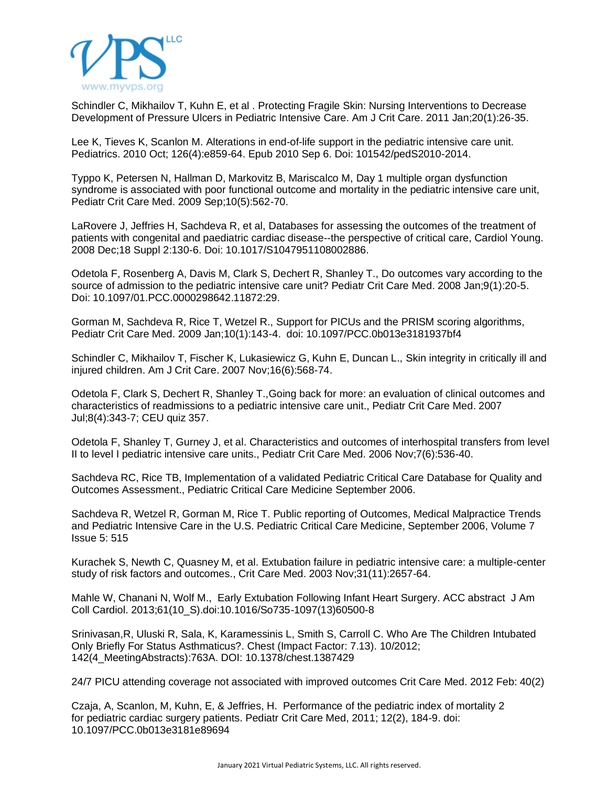

Schindler C, Mikhailov T, Kuhn E, et al . Protecting Fragile Skin: Nursing [Interventions](http://www.ncbi.nlm.nih.gov/pubmed/?term=Protecting+Fragile+Skin%3A+Nursing+Interventions+to+Decrease+Development+of+Pressure+Ulcers+in+Pediatric+Intensive+Care.) to Decrease [Development](http://www.ncbi.nlm.nih.gov/pubmed/?term=Protecting+Fragile+Skin%3A+Nursing+Interventions+to+Decrease+Development+of+Pressure+Ulcers+in+Pediatric+Intensive+Care.) of Pressure Ulcers in Pediatric Intensive Care. Am J Crit Care. 2011 Jan;20(1):26-35.

Lee K, Tieves K, Scanlon M. [Alterations](http://www.ncbi.nlm.nih.gov/pubmed/20819890) in end-of-life support in the pediatric intensive care unit. Pediatrics. 2010 Oct; 126(4):e859-64. Epub 2010 Sep 6. Doi: 101542/pedS2010-2014.

Typpo K, Petersen N, Hallman D, Markovitz B, Mariscalco M, Day 1 multiple organ [dysfunction](http://www.ncbi.nlm.nih.gov/pubmed/?term=Day+1+multiple+organ+dysfunction+syndrome+is+associated+with+poor+functional+outcome+and+mortality+in+the+pediatric+intensive+care+unit) syndrome is [associated](http://www.ncbi.nlm.nih.gov/pubmed/?term=Day+1+multiple+organ+dysfunction+syndrome+is+associated+with+poor+functional+outcome+and+mortality+in+the+pediatric+intensive+care+unit) with poor functional outcome and mortality in the pediatric intensive care unit, Pediatr Crit Care Med. 2009 Sep;10(5):562-70.

LaRovere J, Jeffries H, Sachdeva R, et al, [Databases](http://www.ncbi.nlm.nih.gov/pubmed/?term=Databases+for+assessing+the+outcomes+of+the+treatment+of+patients+with+congenital+and+paediatric+cardiac+disease--the+perspective+of+critical+care) for assessing the outcomes of the treatment of patients with congenital and paediatric cardiac [disease--the](http://www.ncbi.nlm.nih.gov/pubmed/?term=Databases+for+assessing+the+outcomes+of+the+treatment+of+patients+with+congenital+and+paediatric+cardiac+disease--the+perspective+of+critical+care) perspective of critical care, Cardiol Young. 2008 Dec;18 Suppl 2:130-6. Doi: 10.1017/S1047951108002886.

Odetola F, Rosenberg A, Davis M, Clark S, Dechert R, Shanley T., Do outcomes vary [according](http://www.ncbi.nlm.nih.gov/pubmed/?term=Do+outcomes+vary+according+to+the+source+of+admission+to+the+pediatric+intensive+care+unit%3F) to the source of [admission](http://www.ncbi.nlm.nih.gov/pubmed/?term=Do+outcomes+vary+according+to+the+source+of+admission+to+the+pediatric+intensive+care+unit%3F) to the pediatric intensive care unit? Pediatr Crit Care Med. 2008 Jan;9(1):20-5. Doi: 10.1097/01.PCC.0000298642.11872:29.

Gorman M, Sachdeva R, Rice T, Wetzel R., Support for PICUs and the PRISM scoring [algorithms,](http://www.ncbi.nlm.nih.gov/pubmed/?term=Support+for+PICUs+and+the+PRISM+scoring+algorithms) Pediatr Crit Care Med. 2009 Jan;10(1):143-4. doi: 10.1097/PCC.0b013e3181937bf4

Schindler C, Mikhailov T, Fischer K, Lukasiewicz G, Kuhn E, Duncan L., Skin integrity in [critically](http://www.ncbi.nlm.nih.gov/pubmed/?term=Skin+integrity+in+critically+ill+and+injured+children.) ill and injured [children.](http://www.ncbi.nlm.nih.gov/pubmed/?term=Skin+integrity+in+critically+ill+and+injured+children.) Am J Crit Care. 2007 Nov;16(6):568-74.

Odetola F, Clark S, Dechert R, Shanley T.,Going back for more: an [evaluation](http://www.ncbi.nlm.nih.gov/pubmed/?term=Going+back+for+more%3A+an+evaluation+of+clinical+outcomes+and+characteristics+of+readmissions+to+a+pediatric+intensive+care+unit.) of clinical outcomes and [characteristics](http://www.ncbi.nlm.nih.gov/pubmed/?term=Going+back+for+more%3A+an+evaluation+of+clinical+outcomes+and+characteristics+of+readmissions+to+a+pediatric+intensive+care+unit.) of readmissions to a pediatric intensive care unit., Pediatr Crit Care Med. 2007 Jul;8(4):343-7; CEU quiz 357.

Odetola F, Shanley T, Gurney J, et al. [Characteristics](http://www.ncbi.nlm.nih.gov/pubmed/?term=Characteristics+and+outcomes+of+interhospital+transfers+from+level+II+to+level+I+pediatric+intensive+care+units) and outcomes of interhospital transfers from level II to level I pediatric [intensive](http://www.ncbi.nlm.nih.gov/pubmed/?term=Characteristics+and+outcomes+of+interhospital+transfers+from+level+II+to+level+I+pediatric+intensive+care+units) care units., Pediatr Crit Care Med. 2006 Nov;7(6):536-40.

Sachdeva RC, Rice TB, Implementation of a validated Pediatric Critical Care Database for Quality and Outcomes Assessment., Pediatric Critical Care Medicine September 2006.

Sachdeva R, Wetzel R, Gorman M, Rice T. Public reporting of Outcomes, Medical [Malpractice](http://journals.lww.com/pccmjournal/Citation/2006/09000/PUBLIC_REPORTING_OF_OUTCOMES,_MEDICAL_MALPRACTICE.87.aspx) Trends and Pediatric [Intensive](http://journals.lww.com/pccmjournal/Citation/2006/09000/PUBLIC_REPORTING_OF_OUTCOMES,_MEDICAL_MALPRACTICE.87.aspx) Care in the U.S. Pediatric Critical Care Medicine, September 2006, Volume 7 Issue 5: 515

Kurachek S, Newth C, Quasney M, et al. Extubation failure in pediatric intensive care: a [multiple-center](http://www.ncbi.nlm.nih.gov/pubmed/?term=Extubation+failure+in+pediatric+intensive+care%3A+a+multiple-center+study+of+risk+factors+and+outcomes.) study of risk factors and [outcomes.,](http://www.ncbi.nlm.nih.gov/pubmed/?term=Extubation+failure+in+pediatric+intensive+care%3A+a+multiple-center+study+of+risk+factors+and+outcomes.) Crit Care Med. 2003 Nov;31(11):2657-64.

Mahle W, Chanani N, Wolf M., Early [Extubation](http://content.onlinejacc.org/article.aspx?articleID=1664647) Following Infant Heart Surgery. ACC abstract J Am Coll Cardiol. 2013;61(10\_S).doi:10.1016/So735-1097(13)60500-8

Srinivasan,R, Uluski R, Sala, K, Karamessinis L, Smith S, Carroll C. Who Are The Children [Intubated](http://www.researchgate.net/publication/236933305_Who_Are_the_Children_Intubated_Only_Briefly_for_Status_Asthmaticus) Only Briefly For Status [Asthmaticus?.](http://www.researchgate.net/publication/236933305_Who_Are_the_Children_Intubated_Only_Briefly_for_Status_Asthmaticus) Chest (Impact Factor: 7.13). 10/2012; 142(4\_MeetingAbstracts):763A. DOI: 10.1378/chest.1387429

24/7 PICU attending coverage not [associated](http://journals.lww.com/ccmjournal/toc/2012/02000) with improved outcomes Crit Care Med. 2012 Feb: 40(2)

Czaja, A, Scanlon, M, Kuhn, E, & Jeffries, H. [Performance](http://journals.lww.com/pccmjournal/Abstract/2011/03000/Performance_of_the_Pediatric_Index_of_Mortality_2.9.aspx) of the pediatric index of mortality 2 for [pediatric](http://journals.lww.com/pccmjournal/Abstract/2011/03000/Performance_of_the_Pediatric_Index_of_Mortality_2.9.aspx) cardiac surgery patients. Pediatr Crit Care Med, 2011; 12(2), 184-9. doi: 10.1097/PCC.0b013e3181e89694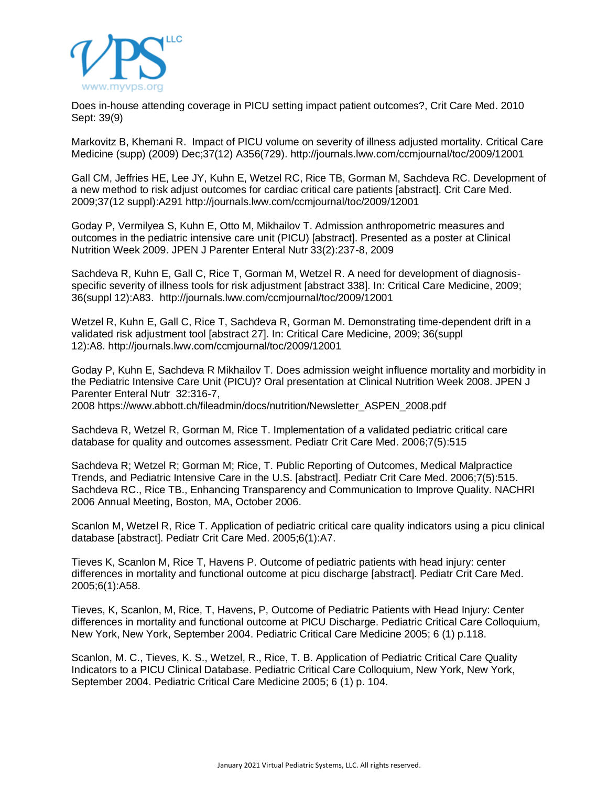

Does in-house attending coverage in PICU setting impact patient [outcomes?,](http://journals.lww.com/ccmjournal/toc/2010/09000) Crit Care Med. 2010 Sept: 39(9)

Markovitz B, Khemani R. Impact of PICU volume on severity of illness adjusted mortality. Critical Care Medicine (supp) (2009) Dec;37(12) A356(729). <http://journals.lww.com/ccmjournal/toc/2009/12001>

Gall CM, Jeffries HE, Lee JY, Kuhn E, Wetzel RC, Rice TB, Gorman M, Sachdeva RC. Development of a new method to risk adjust outcomes for cardiac critical care patients [abstract]. Crit Care Med. 2009;37(12 suppl):A291 <http://journals.lww.com/ccmjournal/toc/2009/12001>

Goday P, Vermilyea S, Kuhn E, Otto M, Mikhailov T. Admission anthropometric measures and outcomes in the pediatric intensive care unit (PICU) [abstract]. Presented as a poster at Clinical Nutrition Week 2009. JPEN J Parenter Enteral Nutr 33(2):237-8, 2009

Sachdeva R, Kuhn E, Gall C, Rice T, Gorman M, Wetzel R. A need for development of diagnosisspecific severity of illness tools for risk adjustment [abstract 338]. In: Critical Care Medicine, 2009; 36(suppl 12):A83. <http://journals.lww.com/ccmjournal/toc/2009/12001>

Wetzel R, Kuhn E, Gall C, Rice T, Sachdeva R, Gorman M. Demonstrating time-dependent drift in a validated risk adjustment tool [abstract 27]. In: Critical Care Medicine, 2009; 36(suppl 12):A8. <http://journals.lww.com/ccmjournal/toc/2009/12001>

Goday P, Kuhn E, Sachdeva R Mikhailov T. Does admission weight influence mortality and morbidity in the Pediatric Intensive Care Unit (PICU)? Oral presentation at Clinical Nutrition Week 2008. JPEN J Parenter Enteral Nutr 32:316-7, 2008 [https://www.abbott.ch/fileadmin/docs/nutrition/Newsletter\\_ASPEN\\_2008.pdf](https://www.abbott.ch/fileadmin/docs/nutrition/Newsletter_ASPEN_2008.pdf)

Sachdeva R, Wetzel R, Gorman M, Rice T. [Implementation](http://journals.lww.com/pccmjournal/Citation/2006/09000/IMPLEMENTATION_OF_A_VALIDATED_PEDIATRIC_CRITICAL.86.aspx) of a validated pediatric critical care database for quality and outcomes [assessment.](http://journals.lww.com/pccmjournal/Citation/2006/09000/IMPLEMENTATION_OF_A_VALIDATED_PEDIATRIC_CRITICAL.86.aspx) Pediatr Crit Care Med. 2006;7(5):515

Sachdeva R; Wetzel R; Gorman M; Rice, T. Public Reporting of Outcomes, Medical [Malpractice](http://journals.lww.com/pccmjournal/Citation/2006/09000/PUBLIC_REPORTING_OF_OUTCOMES,_MEDICAL_MALPRACTICE.87.aspx) Trends, and Pediatric [Intensive](http://journals.lww.com/pccmjournal/Citation/2006/09000/PUBLIC_REPORTING_OF_OUTCOMES,_MEDICAL_MALPRACTICE.87.aspx) Care in the U.S. [abstract]. Pediatr Crit Care Med. 2006;7(5):515. Sachdeva RC., Rice TB., Enhancing Transparency and Communication to Improve Quality. NACHRI 2006 Annual Meeting, Boston, MA, October 2006.

Scanlon M, Wetzel R, Rice T. [Application](http://journals.lww.com/pccmjournal/Citation/2005/01000/Application_of_Pediatric_Critical_Care_Quality.59.aspx) of pediatric critical care quality indicators using a picu clinical [database](http://journals.lww.com/pccmjournal/Citation/2005/01000/Application_of_Pediatric_Critical_Care_Quality.59.aspx) [abstract]. Pediatr Crit Care Med. 2005;6(1):A7.

Tieves K, Scanlon M, Rice T, Havens P. [Outcome](http://journals.lww.com/pccmjournal/Citation/2005/01000/Outcome_of_Pediatric_Patients_with_Head_Injury_.110.aspx) of pediatric patients with head injury: center [differences](http://journals.lww.com/pccmjournal/Citation/2005/01000/Outcome_of_Pediatric_Patients_with_Head_Injury_.110.aspx) in mortality and functional outcome at picu discharge [abstract]. Pediatr Crit Care Med. 2005;6(1):A58.

Tieves, K, Scanlon, M, Rice, T, Havens, P, [Outcome](http://pedsccm.org/ORG-MEET/PCCC2004/PCCC_2004_abstracts.htm) of Pediatric Patients with Head Injury: Center [differences](http://pedsccm.org/ORG-MEET/PCCC2004/PCCC_2004_abstracts.htm) in mortality and functional outcome at PICU Discharge. Pediatric Critical Care Colloquium, New York, New York, September 2004. Pediatric Critical Care Medicine 2005; 6 (1) p.118.

Scanlon, M. C., Tieves, K. S., Wetzel, R., Rice, T. B. Application of Pediatric Critical Care Quality Indicators to a PICU Clinical Database. Pediatric Critical Care Colloquium, New York, New York, September 2004. Pediatric Critical Care Medicine 2005; 6 (1) p. 104.